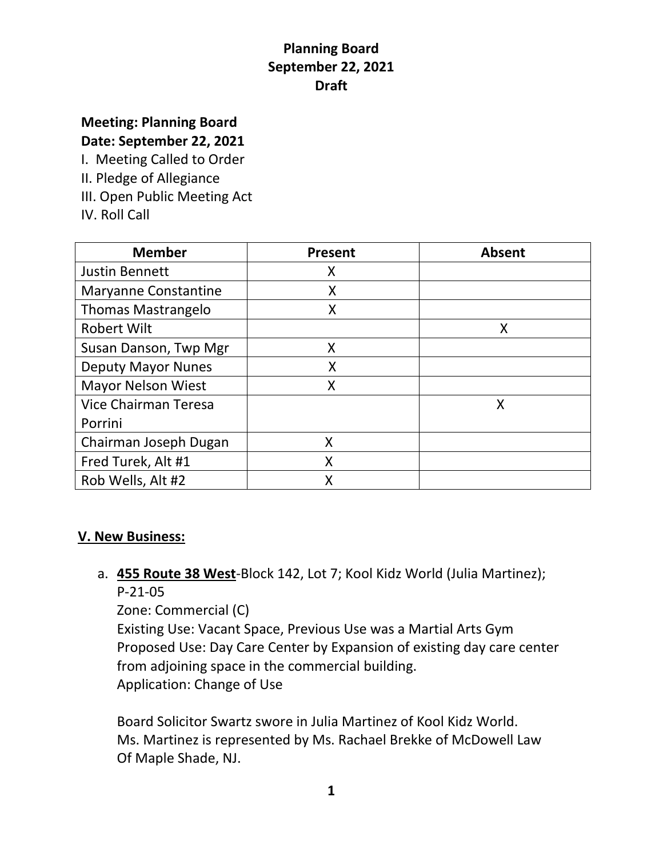# **Meeting: Planning Board**

**Date: September 22, 2021**

I. Meeting Called to Order

- II. Pledge of Allegiance
- III. Open Public Meeting Act
- IV. Roll Call

| <b>Member</b>               | <b>Present</b> | <b>Absent</b> |
|-----------------------------|----------------|---------------|
| <b>Justin Bennett</b>       | Χ              |               |
| <b>Maryanne Constantine</b> | X              |               |
| <b>Thomas Mastrangelo</b>   | Χ              |               |
| <b>Robert Wilt</b>          |                | Χ             |
| Susan Danson, Twp Mgr       | X              |               |
| <b>Deputy Mayor Nunes</b>   | X              |               |
| <b>Mayor Nelson Wiest</b>   | Χ              |               |
| <b>Vice Chairman Teresa</b> |                | X             |
| Porrini                     |                |               |
| Chairman Joseph Dugan       | X              |               |
| Fred Turek, Alt #1          | X              |               |
| Rob Wells, Alt #2           | Х              |               |

#### **V. New Business:**

a. **455 Route 38 West**-Block 142, Lot 7; Kool Kidz World (Julia Martinez); P-21-05

Zone: Commercial (C)

Existing Use: Vacant Space, Previous Use was a Martial Arts Gym Proposed Use: Day Care Center by Expansion of existing day care center from adjoining space in the commercial building. Application: Change of Use

Board Solicitor Swartz swore in Julia Martinez of Kool Kidz World. Ms. Martinez is represented by Ms. Rachael Brekke of McDowell Law Of Maple Shade, NJ.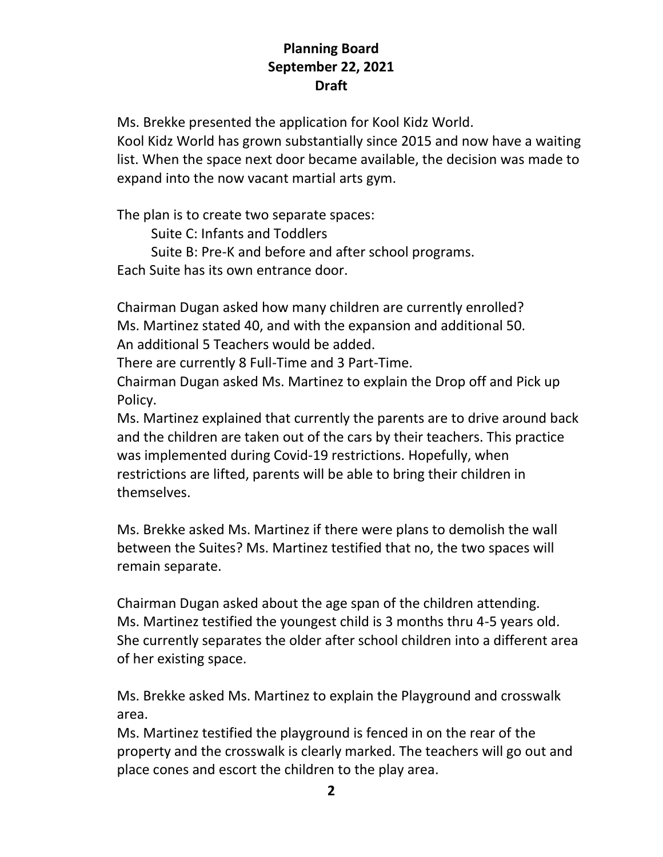Ms. Brekke presented the application for Kool Kidz World. Kool Kidz World has grown substantially since 2015 and now have a waiting list. When the space next door became available, the decision was made to expand into the now vacant martial arts gym.

The plan is to create two separate spaces:

Suite C: Infants and Toddlers

 Suite B: Pre-K and before and after school programs. Each Suite has its own entrance door.

Chairman Dugan asked how many children are currently enrolled? Ms. Martinez stated 40, and with the expansion and additional 50. An additional 5 Teachers would be added.

There are currently 8 Full-Time and 3 Part-Time.

Chairman Dugan asked Ms. Martinez to explain the Drop off and Pick up Policy.

Ms. Martinez explained that currently the parents are to drive around back and the children are taken out of the cars by their teachers. This practice was implemented during Covid-19 restrictions. Hopefully, when restrictions are lifted, parents will be able to bring their children in themselves.

Ms. Brekke asked Ms. Martinez if there were plans to demolish the wall between the Suites? Ms. Martinez testified that no, the two spaces will remain separate.

Chairman Dugan asked about the age span of the children attending. Ms. Martinez testified the youngest child is 3 months thru 4-5 years old. She currently separates the older after school children into a different area of her existing space.

Ms. Brekke asked Ms. Martinez to explain the Playground and crosswalk area.

Ms. Martinez testified the playground is fenced in on the rear of the property and the crosswalk is clearly marked. The teachers will go out and place cones and escort the children to the play area.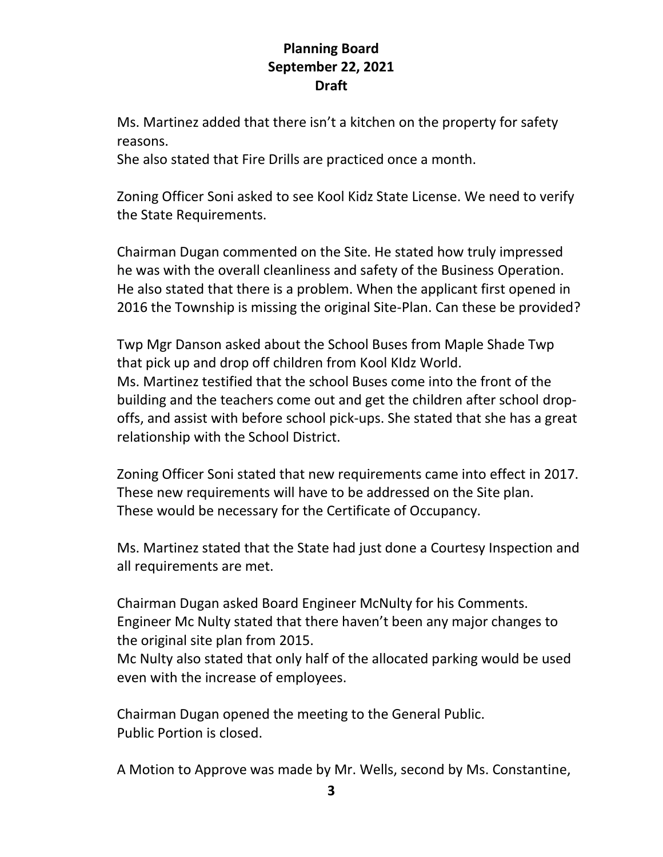Ms. Martinez added that there isn't a kitchen on the property for safety reasons.

She also stated that Fire Drills are practiced once a month.

Zoning Officer Soni asked to see Kool Kidz State License. We need to verify the State Requirements.

Chairman Dugan commented on the Site. He stated how truly impressed he was with the overall cleanliness and safety of the Business Operation. He also stated that there is a problem. When the applicant first opened in 2016 the Township is missing the original Site-Plan. Can these be provided?

Twp Mgr Danson asked about the School Buses from Maple Shade Twp that pick up and drop off children from Kool KIdz World. Ms. Martinez testified that the school Buses come into the front of the building and the teachers come out and get the children after school dropoffs, and assist with before school pick-ups. She stated that she has a great relationship with the School District.

Zoning Officer Soni stated that new requirements came into effect in 2017. These new requirements will have to be addressed on the Site plan. These would be necessary for the Certificate of Occupancy.

Ms. Martinez stated that the State had just done a Courtesy Inspection and all requirements are met.

Chairman Dugan asked Board Engineer McNulty for his Comments. Engineer Mc Nulty stated that there haven't been any major changes to the original site plan from 2015.

Mc Nulty also stated that only half of the allocated parking would be used even with the increase of employees.

Chairman Dugan opened the meeting to the General Public. Public Portion is closed.

A Motion to Approve was made by Mr. Wells, second by Ms. Constantine,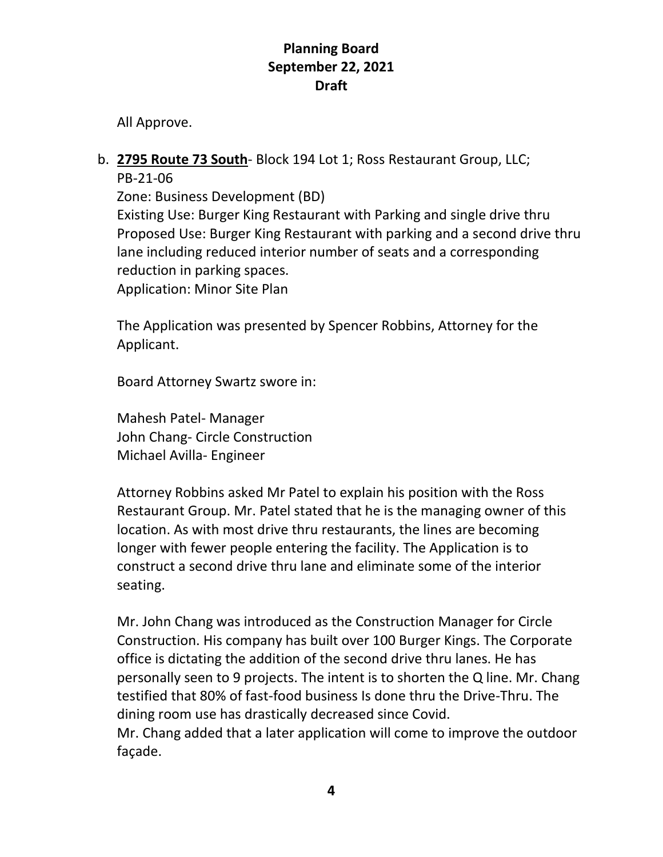All Approve.

#### b. **2795 Route 73 South**- Block 194 Lot 1; Ross Restaurant Group, LLC; PB-21-06

Zone: Business Development (BD) Existing Use: Burger King Restaurant with Parking and single drive thru Proposed Use: Burger King Restaurant with parking and a second drive thru lane including reduced interior number of seats and a corresponding reduction in parking spaces. Application: Minor Site Plan

The Application was presented by Spencer Robbins, Attorney for the Applicant.

Board Attorney Swartz swore in:

Mahesh Patel- Manager John Chang- Circle Construction Michael Avilla- Engineer

Attorney Robbins asked Mr Patel to explain his position with the Ross Restaurant Group. Mr. Patel stated that he is the managing owner of this location. As with most drive thru restaurants, the lines are becoming longer with fewer people entering the facility. The Application is to construct a second drive thru lane and eliminate some of the interior seating.

Mr. John Chang was introduced as the Construction Manager for Circle Construction. His company has built over 100 Burger Kings. The Corporate office is dictating the addition of the second drive thru lanes. He has personally seen to 9 projects. The intent is to shorten the Q line. Mr. Chang testified that 80% of fast-food business Is done thru the Drive-Thru. The dining room use has drastically decreased since Covid.

Mr. Chang added that a later application will come to improve the outdoor façade.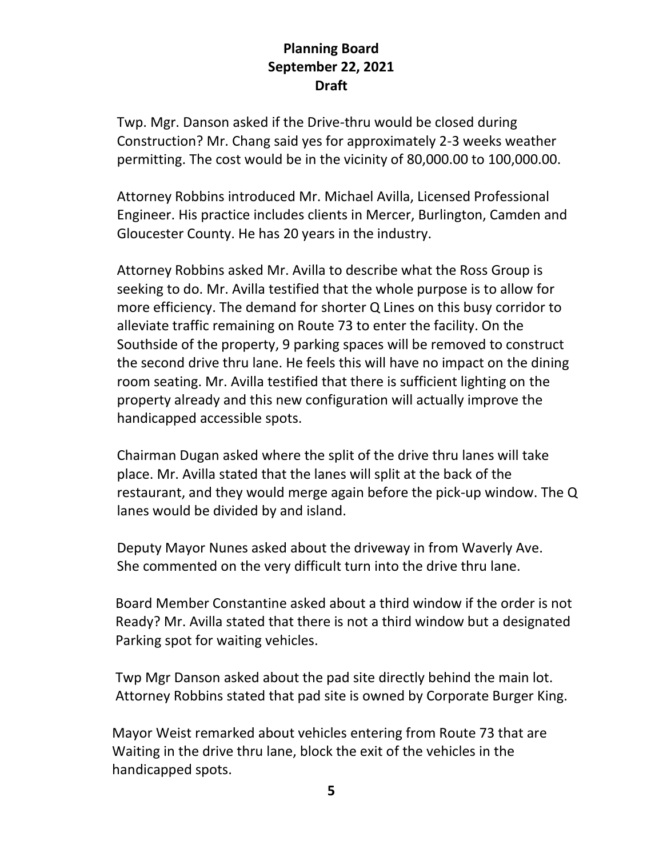Twp. Mgr. Danson asked if the Drive-thru would be closed during Construction? Mr. Chang said yes for approximately 2-3 weeks weather permitting. The cost would be in the vicinity of 80,000.00 to 100,000.00.

Attorney Robbins introduced Mr. Michael Avilla, Licensed Professional Engineer. His practice includes clients in Mercer, Burlington, Camden and Gloucester County. He has 20 years in the industry.

Attorney Robbins asked Mr. Avilla to describe what the Ross Group is seeking to do. Mr. Avilla testified that the whole purpose is to allow for more efficiency. The demand for shorter Q Lines on this busy corridor to alleviate traffic remaining on Route 73 to enter the facility. On the Southside of the property, 9 parking spaces will be removed to construct the second drive thru lane. He feels this will have no impact on the dining room seating. Mr. Avilla testified that there is sufficient lighting on the property already and this new configuration will actually improve the handicapped accessible spots.

Chairman Dugan asked where the split of the drive thru lanes will take place. Mr. Avilla stated that the lanes will split at the back of the restaurant, and they would merge again before the pick-up window. The Q lanes would be divided by and island.

Deputy Mayor Nunes asked about the driveway in from Waverly Ave. She commented on the very difficult turn into the drive thru lane.

 Board Member Constantine asked about a third window if the order is not Ready? Mr. Avilla stated that there is not a third window but a designated Parking spot for waiting vehicles.

 Twp Mgr Danson asked about the pad site directly behind the main lot. Attorney Robbins stated that pad site is owned by Corporate Burger King.

 Mayor Weist remarked about vehicles entering from Route 73 that are Waiting in the drive thru lane, block the exit of the vehicles in the handicapped spots.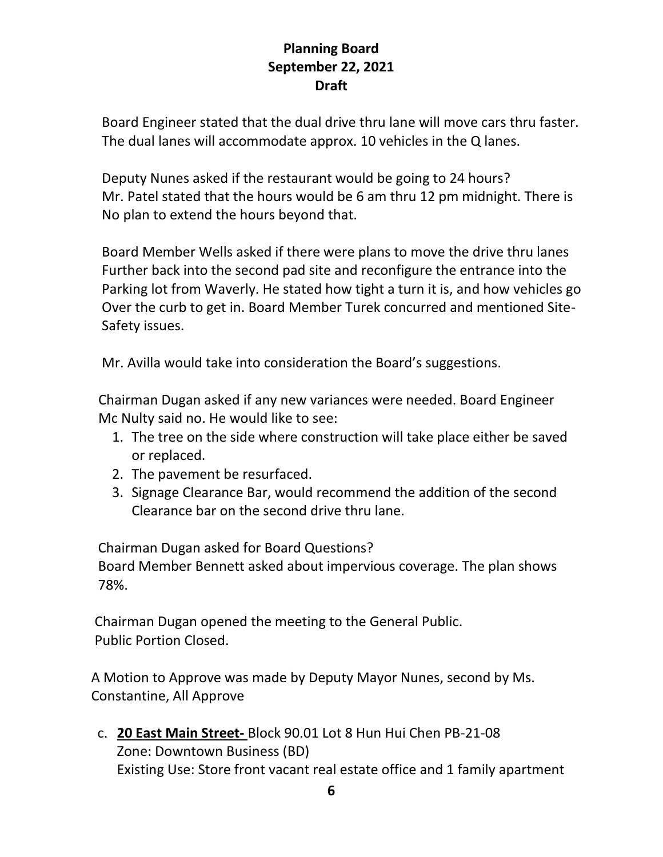Board Engineer stated that the dual drive thru lane will move cars thru faster. The dual lanes will accommodate approx. 10 vehicles in the Q lanes.

 Deputy Nunes asked if the restaurant would be going to 24 hours? Mr. Patel stated that the hours would be 6 am thru 12 pm midnight. There is No plan to extend the hours beyond that.

 Board Member Wells asked if there were plans to move the drive thru lanes Further back into the second pad site and reconfigure the entrance into the Parking lot from Waverly. He stated how tight a turn it is, and how vehicles go Over the curb to get in. Board Member Turek concurred and mentioned Site- Safety issues.

Mr. Avilla would take into consideration the Board's suggestions.

 Chairman Dugan asked if any new variances were needed. Board Engineer Mc Nulty said no. He would like to see:

- 1. The tree on the side where construction will take place either be saved or replaced.
- 2. The pavement be resurfaced.
- 3. Signage Clearance Bar, would recommend the addition of the second Clearance bar on the second drive thru lane.

 Chairman Dugan asked for Board Questions? Board Member Bennett asked about impervious coverage. The plan shows 78%.

 Chairman Dugan opened the meeting to the General Public. Public Portion Closed.

 A Motion to Approve was made by Deputy Mayor Nunes, second by Ms. Constantine, All Approve

c. **20 East Main Street-** Block 90.01 Lot 8 Hun Hui Chen PB-21-08 Zone: Downtown Business (BD) Existing Use: Store front vacant real estate office and 1 family apartment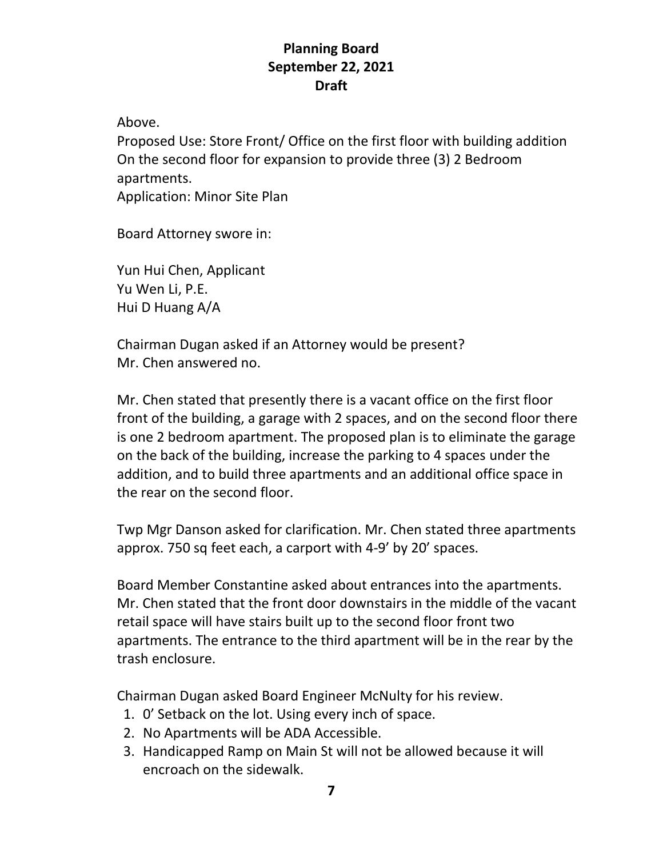Above.

Proposed Use: Store Front/ Office on the first floor with building addition On the second floor for expansion to provide three (3) 2 Bedroom apartments. Application: Minor Site Plan

Board Attorney swore in:

Yun Hui Chen, Applicant Yu Wen Li, P.E. Hui D Huang A/A

Chairman Dugan asked if an Attorney would be present? Mr. Chen answered no.

Mr. Chen stated that presently there is a vacant office on the first floor front of the building, a garage with 2 spaces, and on the second floor there is one 2 bedroom apartment. The proposed plan is to eliminate the garage on the back of the building, increase the parking to 4 spaces under the addition, and to build three apartments and an additional office space in the rear on the second floor.

Twp Mgr Danson asked for clarification. Mr. Chen stated three apartments approx. 750 sq feet each, a carport with 4-9' by 20' spaces.

Board Member Constantine asked about entrances into the apartments. Mr. Chen stated that the front door downstairs in the middle of the vacant retail space will have stairs built up to the second floor front two apartments. The entrance to the third apartment will be in the rear by the trash enclosure.

Chairman Dugan asked Board Engineer McNulty for his review.

- 1. 0' Setback on the lot. Using every inch of space.
- 2. No Apartments will be ADA Accessible.
- 3. Handicapped Ramp on Main St will not be allowed because it will encroach on the sidewalk.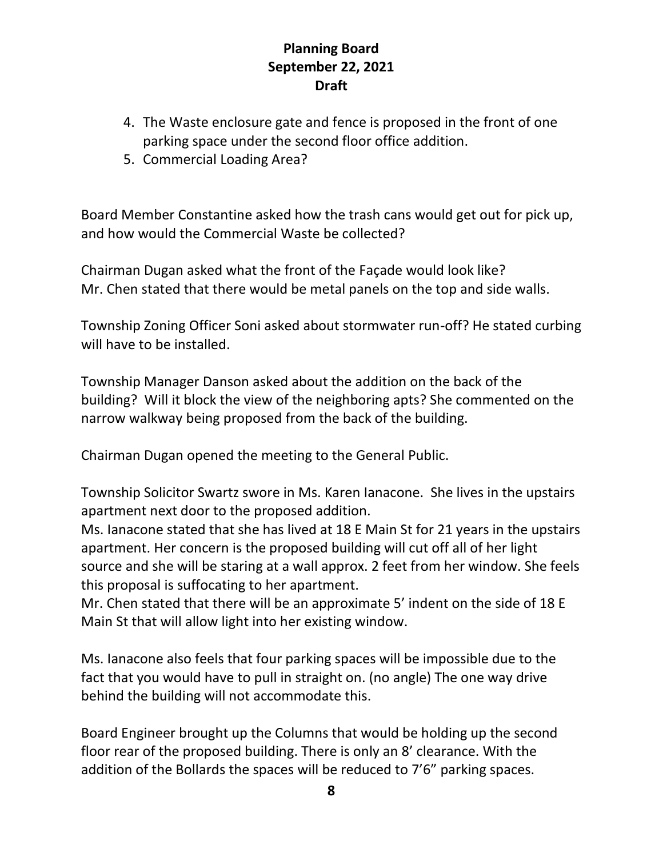- 4. The Waste enclosure gate and fence is proposed in the front of one parking space under the second floor office addition.
- 5. Commercial Loading Area?

Board Member Constantine asked how the trash cans would get out for pick up, and how would the Commercial Waste be collected?

Chairman Dugan asked what the front of the Façade would look like? Mr. Chen stated that there would be metal panels on the top and side walls.

Township Zoning Officer Soni asked about stormwater run-off? He stated curbing will have to be installed.

Township Manager Danson asked about the addition on the back of the building? Will it block the view of the neighboring apts? She commented on the narrow walkway being proposed from the back of the building.

Chairman Dugan opened the meeting to the General Public.

Township Solicitor Swartz swore in Ms. Karen Ianacone. She lives in the upstairs apartment next door to the proposed addition.

Ms. Ianacone stated that she has lived at 18 E Main St for 21 years in the upstairs apartment. Her concern is the proposed building will cut off all of her light source and she will be staring at a wall approx. 2 feet from her window. She feels this proposal is suffocating to her apartment.

Mr. Chen stated that there will be an approximate 5' indent on the side of 18 E Main St that will allow light into her existing window.

Ms. Ianacone also feels that four parking spaces will be impossible due to the fact that you would have to pull in straight on. (no angle) The one way drive behind the building will not accommodate this.

Board Engineer brought up the Columns that would be holding up the second floor rear of the proposed building. There is only an 8' clearance. With the addition of the Bollards the spaces will be reduced to 7'6" parking spaces.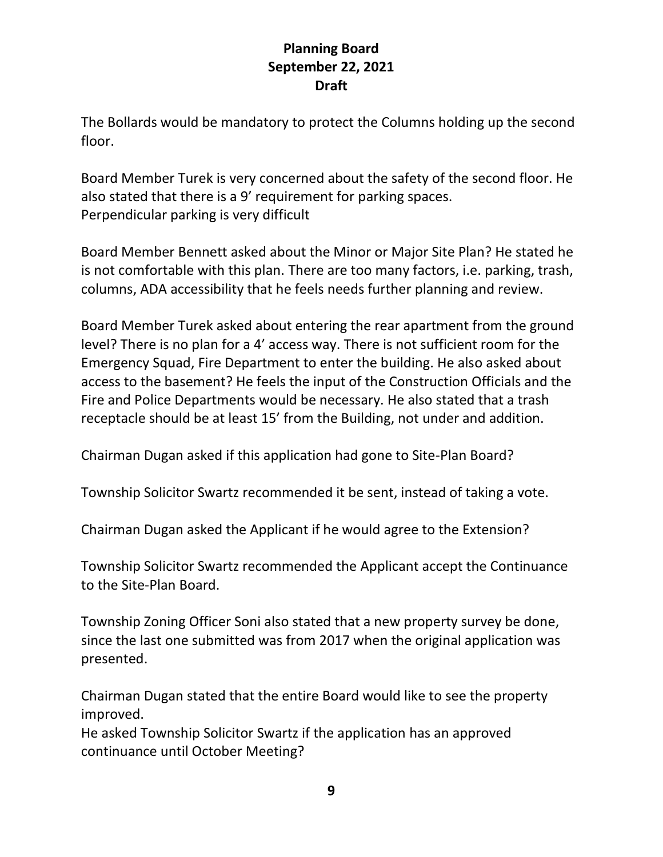The Bollards would be mandatory to protect the Columns holding up the second floor.

Board Member Turek is very concerned about the safety of the second floor. He also stated that there is a 9' requirement for parking spaces. Perpendicular parking is very difficult

Board Member Bennett asked about the Minor or Major Site Plan? He stated he is not comfortable with this plan. There are too many factors, i.e. parking, trash, columns, ADA accessibility that he feels needs further planning and review.

Board Member Turek asked about entering the rear apartment from the ground level? There is no plan for a 4' access way. There is not sufficient room for the Emergency Squad, Fire Department to enter the building. He also asked about access to the basement? He feels the input of the Construction Officials and the Fire and Police Departments would be necessary. He also stated that a trash receptacle should be at least 15' from the Building, not under and addition.

Chairman Dugan asked if this application had gone to Site-Plan Board?

Township Solicitor Swartz recommended it be sent, instead of taking a vote.

Chairman Dugan asked the Applicant if he would agree to the Extension?

Township Solicitor Swartz recommended the Applicant accept the Continuance to the Site-Plan Board.

Township Zoning Officer Soni also stated that a new property survey be done, since the last one submitted was from 2017 when the original application was presented.

Chairman Dugan stated that the entire Board would like to see the property improved.

He asked Township Solicitor Swartz if the application has an approved continuance until October Meeting?